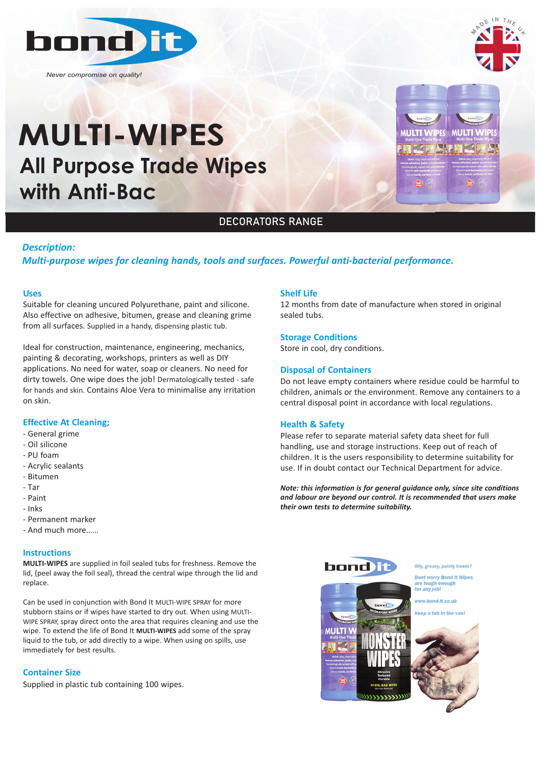

*Never compromise on quality!*

# **All Purpose Trade Wipes with Anti-Bac MULTI-WIPES**



# DECORATORS RANGE

#### *Description:*

## *Multi‐purpose wipes for cleaning hands, tools and surfaces. Powerful anti‐bacterial performance.*

#### **Uses**

Suitable for cleaning uncured Polyurethane, paint and silicone. Also effective on adhesive, bitumen, grease and cleaning grime from all surfaces. Supplied in a handy, dispensing plastic tub.

Ideal for construction, maintenance, engineering, mechanics, painting & decorating, workshops, printers as well as DIY applications. No need for water, soap or cleaners. No need for dirty towels. One wipe does the job! Dermatologically tested - safe for hands and skin. Contains Aloe Vera to minimalise any irritation on skin.

## **Effective At Cleaning;**

- General grime
- Oil silicone
- PU foam
- Acrylic sealants
- Bitumen
- Tar
- Paint
- Inks
- Permanent marker
- And much more……

#### **Instructions**

**MULTI-WIPES** are supplied in foil sealed tubs for freshness. Remove the lid, (peel away the foil seal), thread the central wipe through the lid and replace.

Can be used in conjunction with Bond It MULTI-WIPE SPRAY for more stubborn stains or if wipes have started to dry out. When using MULTI-WIPE SPRAY, spray direct onto the area that requires cleaning and use the wipe. To extend the life of Bond It **MULTI-WIPES** add some of the spray liquid to the tub, or add directly to a wipe. When using on spills, use immediately for best results.

#### **Container Size**

Supplied in plastic tub containing 100 wipes.

#### **Shelf Life**

12 months from date of manufacture when stored in original sealed tubs.

#### **Storage Conditions**

Store in cool, dry conditions.

#### **Disposal of Containers**

Do not leave empty containers where residue could be harmful to children, animals or the environment. Remove any containers to a central disposal point in accordance with local regulations.

#### **Health & Safety**

Please refer to separate material safety data sheet for full handling, use and storage instructions. Keep out of reach of children. It is the users responsibility to determine suitability for use. If in doubt contact our Technical Department for advice.

*Note: this information is for general guidance only, since site conditions and labour are beyond our control. It is recommended that users make their own tests to determine suitability.* 



Oily, greasy, painty hands? **Dont worry Bond It Wipes** 

.<br>Keen a tuh in the van!